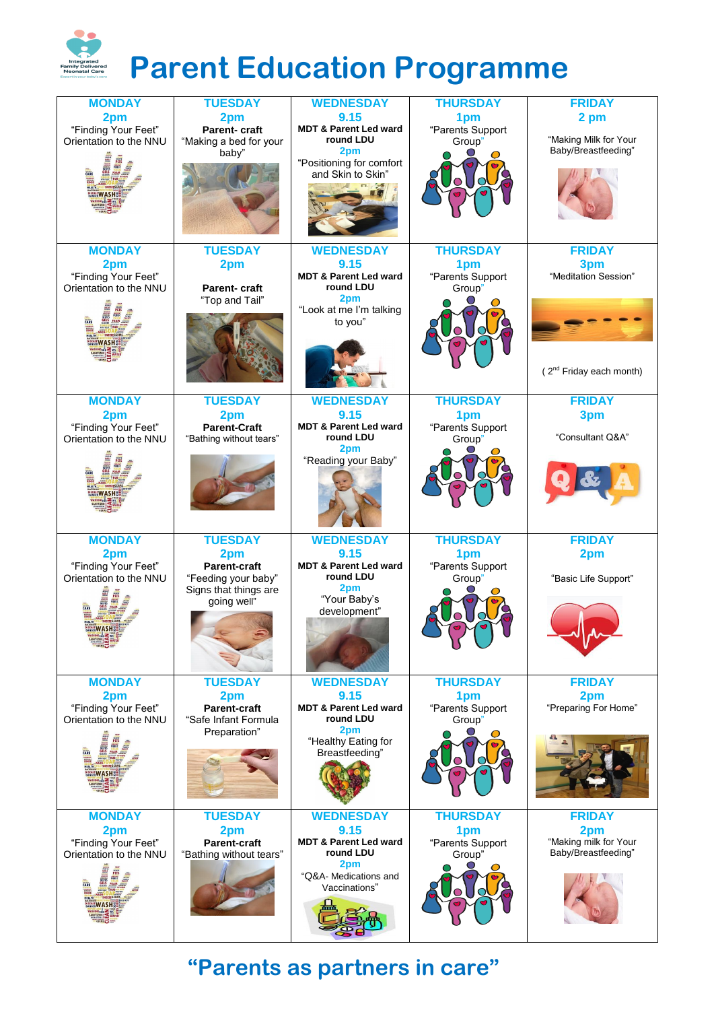

## **"Parents as partners in care"**

| <b>MONDAY</b>                                 | <b>TUESDAY</b>                                 | <b>WEDNESDAY</b>                      | <b>THURSDAY</b>  | <b>FRIDAY</b>               |
|-----------------------------------------------|------------------------------------------------|---------------------------------------|------------------|-----------------------------|
| 2pm                                           | 2pm                                            | 9.15                                  | 1pm              | 2 pm                        |
| "Finding Your Feet"                           | <b>Parent-craft</b>                            | <b>MDT &amp; Parent Led ward</b>      | "Parents Support |                             |
| Orientation to the NNU                        | "Making a bed for your                         | round LDU                             | Group"           | "Making Milk for Your       |
|                                               | baby"                                          | 2pm                                   |                  | Baby/Breastfeeding"         |
|                                               |                                                | "Positioning for comfort              |                  |                             |
|                                               |                                                | and Skin to Skin"                     |                  |                             |
|                                               |                                                |                                       |                  |                             |
|                                               |                                                |                                       |                  |                             |
|                                               |                                                |                                       |                  |                             |
|                                               |                                                |                                       |                  |                             |
|                                               |                                                |                                       |                  |                             |
|                                               |                                                |                                       |                  |                             |
| <b>MONDAY</b>                                 | <b>TUESDAY</b>                                 | <b>WEDNESDAY</b>                      | <b>THURSDAY</b>  | <b>FRIDAY</b>               |
| 2pm                                           | 2pm                                            | 9.15                                  | 1pm              | 3pm                         |
| "Finding Your Feet"                           |                                                | <b>MDT &amp; Parent Led ward</b>      | "Parents Support | "Meditation Session"        |
| Orientation to the NNU                        | <b>Parent-craft</b>                            | round LDU                             | Group"           |                             |
|                                               | "Top and Tail"                                 | 2pm                                   |                  |                             |
|                                               |                                                | "Look at me I'm talking               |                  |                             |
| CARE                                          |                                                | to you"                               |                  |                             |
|                                               |                                                |                                       |                  |                             |
|                                               |                                                |                                       |                  |                             |
|                                               |                                                |                                       |                  |                             |
|                                               |                                                |                                       |                  | $2^{nd}$ Friday each month) |
|                                               |                                                |                                       |                  |                             |
| <b>MONDAY</b>                                 | <b>TUESDAY</b>                                 | <b>WEDNESDAY</b>                      | <b>THURSDAY</b>  | <b>FRIDAY</b>               |
|                                               |                                                | 9.15                                  |                  |                             |
| 2pm                                           | 2pm                                            | <b>MDT &amp; Parent Led ward</b>      | 1pm              | 3pm                         |
| "Finding Your Feet"<br>Orientation to the NNU | <b>Parent-Craft</b><br>"Bathing without tears" | round LDU                             | "Parents Support | "Consultant Q&A"            |
|                                               |                                                | 2pm                                   | Group"           |                             |
|                                               |                                                | "Reading your Baby"                   |                  |                             |
| PROFILE<br>NARRIS<br>MIPES<br>CELS            |                                                |                                       |                  |                             |
| <b>SNEEZEGERMS</b>                            |                                                |                                       |                  |                             |
|                                               |                                                |                                       |                  |                             |
|                                               |                                                |                                       |                  |                             |
|                                               |                                                |                                       |                  |                             |
|                                               |                                                |                                       |                  |                             |
| <b>MONDAY</b>                                 | <b>TUESDAY</b>                                 | <b>WEDNESDAY</b>                      | <b>THURSDAY</b>  | <b>FRIDAY</b>               |
| 2pm                                           | 2pm                                            | 9.15                                  | 1pm              | 2pm                         |
| "Finding Your Feet"                           | <b>Parent-craft</b>                            | <b>MDT &amp; Parent Led ward</b>      | "Parents Support |                             |
| Orientation to the NNU                        | "Feeding your baby"                            | round LDU                             | Group"           | "Basic Life Support"        |
|                                               | Signs that things are                          | 2pm                                   |                  |                             |
|                                               | going well"                                    | "Your Baby's                          |                  |                             |
|                                               |                                                | development"                          |                  |                             |
| <b>SNEEZEGERMS</b>                            |                                                |                                       |                  |                             |
|                                               |                                                |                                       |                  |                             |
|                                               |                                                |                                       |                  |                             |
|                                               |                                                |                                       |                  |                             |
|                                               |                                                |                                       |                  |                             |
| <b>MONDAY</b>                                 | <b>TUESDAY</b>                                 | <b>WEDNESDAY</b>                      | <b>THURSDAY</b>  | <b>FRIDAY</b>               |
| 2pm                                           | 2pm                                            | 9.15                                  | 1pm              | 2pm                         |
| "Finding Your Feet"                           | <b>Parent-craft</b>                            | <b>MDT &amp; Parent Led ward</b>      | "Parents Support | "Preparing For Home"        |
| Orientation to the NNU                        | "Safe Infant Formula                           | round LDU                             | Group"           |                             |
|                                               | Preparation"                                   | 2pm                                   |                  |                             |
|                                               |                                                | "Healthy Eating for<br>Breastfeeding" |                  |                             |
|                                               |                                                |                                       |                  |                             |